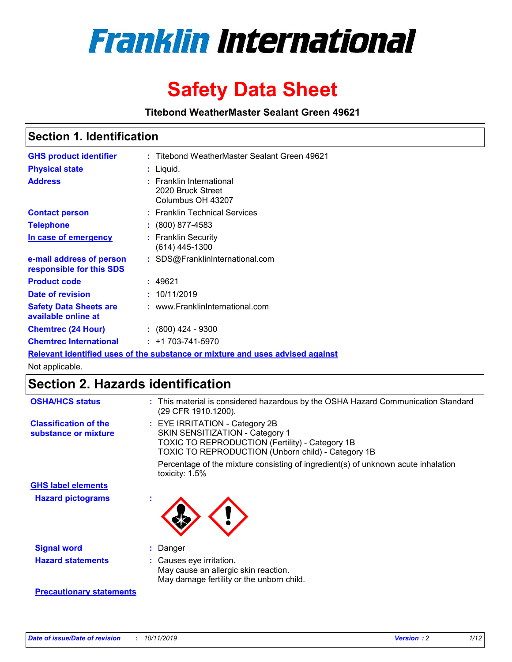

# **Safety Data Sheet**

**Titebond WeatherMaster Sealant Green 49621**

### **Section 1. Identification**

| <b>GHS product identifier</b>                                                 |  | : Titebond WeatherMaster Sealant Green 49621                       |  |  |  |
|-------------------------------------------------------------------------------|--|--------------------------------------------------------------------|--|--|--|
| <b>Physical state</b>                                                         |  | : Liquid.                                                          |  |  |  |
| <b>Address</b>                                                                |  | : Franklin International<br>2020 Bruck Street<br>Columbus OH 43207 |  |  |  |
| <b>Contact person</b>                                                         |  | : Franklin Technical Services                                      |  |  |  |
| <b>Telephone</b>                                                              |  | $\colon$ (800) 877-4583                                            |  |  |  |
| In case of emergency                                                          |  | : Franklin Security<br>(614) 445-1300                              |  |  |  |
| e-mail address of person<br>responsible for this SDS                          |  | : SDS@FranklinInternational.com                                    |  |  |  |
| <b>Product code</b>                                                           |  | : 49621                                                            |  |  |  |
| Date of revision                                                              |  | : 10/11/2019                                                       |  |  |  |
| <b>Safety Data Sheets are</b><br>available online at                          |  | : www.FranklinInternational.com                                    |  |  |  |
| <b>Chemtrec (24 Hour)</b>                                                     |  | : (800) 424 - 9300                                                 |  |  |  |
| <b>Chemtrec International</b>                                                 |  | $: +1703 - 741 - 5970$                                             |  |  |  |
| Relevant identified uses of the substance or mixture and uses advised against |  |                                                                    |  |  |  |

Not applicable.

## **Section 2. Hazards identification**

| <b>OSHA/HCS status</b>                               | : This material is considered hazardous by the OSHA Hazard Communication Standard<br>(29 CFR 1910.1200).                                                                          |
|------------------------------------------------------|-----------------------------------------------------------------------------------------------------------------------------------------------------------------------------------|
| <b>Classification of the</b><br>substance or mixture | : EYE IRRITATION - Category 2B<br>SKIN SENSITIZATION - Category 1<br><b>TOXIC TO REPRODUCTION (Fertility) - Category 1B</b><br>TOXIC TO REPRODUCTION (Unborn child) - Category 1B |
|                                                      | Percentage of the mixture consisting of ingredient(s) of unknown acute inhalation<br>toxicity: $1.5\%$                                                                            |
| <b>GHS label elements</b>                            |                                                                                                                                                                                   |
| <b>Hazard pictograms</b>                             |                                                                                                                                                                                   |
| <b>Signal word</b>                                   | : Danger                                                                                                                                                                          |
| <b>Hazard statements</b>                             | : Causes eye irritation.<br>May cause an allergic skin reaction.<br>May damage fertility or the unborn child.                                                                     |
| <b>Precautionary statements</b>                      |                                                                                                                                                                                   |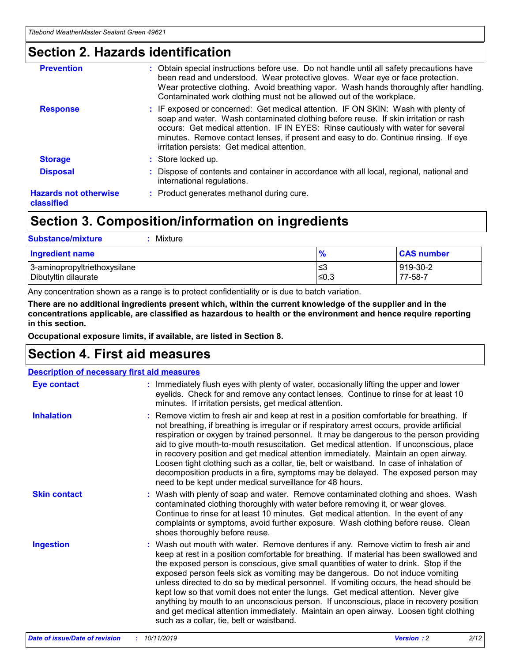### **Section 2. Hazards identification**

| <b>Prevention</b>                          | : Obtain special instructions before use. Do not handle until all safety precautions have<br>been read and understood. Wear protective gloves. Wear eye or face protection.<br>Wear protective clothing. Avoid breathing vapor. Wash hands thoroughly after handling.<br>Contaminated work clothing must not be allowed out of the workplace.                                                        |
|--------------------------------------------|------------------------------------------------------------------------------------------------------------------------------------------------------------------------------------------------------------------------------------------------------------------------------------------------------------------------------------------------------------------------------------------------------|
| <b>Response</b>                            | : IF exposed or concerned: Get medical attention. IF ON SKIN: Wash with plenty of<br>soap and water. Wash contaminated clothing before reuse. If skin irritation or rash<br>occurs: Get medical attention. IF IN EYES: Rinse cautiously with water for several<br>minutes. Remove contact lenses, if present and easy to do. Continue rinsing. If eye<br>irritation persists: Get medical attention. |
| <b>Storage</b>                             | : Store locked up.                                                                                                                                                                                                                                                                                                                                                                                   |
| <b>Disposal</b>                            | : Dispose of contents and container in accordance with all local, regional, national and<br>international regulations.                                                                                                                                                                                                                                                                               |
| <b>Hazards not otherwise</b><br>classified | : Product generates methanol during cure.                                                                                                                                                                                                                                                                                                                                                            |
|                                            |                                                                                                                                                                                                                                                                                                                                                                                                      |

## **Section 3. Composition/information on ingredients**

| <b>Substance/mixture</b><br>: Mixture                |               |                     |
|------------------------------------------------------|---------------|---------------------|
| Ingredient name                                      | $\frac{9}{6}$ | <b>CAS number</b>   |
| 3-aminopropyltriethoxysilane<br>Dibutyltin dilaurate | צ≥<br>≤0.3    | 919-30-2<br>77-58-7 |

Any concentration shown as a range is to protect confidentiality or is due to batch variation.

**There are no additional ingredients present which, within the current knowledge of the supplier and in the concentrations applicable, are classified as hazardous to health or the environment and hence require reporting in this section.**

**Occupational exposure limits, if available, are listed in Section 8.**

### **Section 4. First aid measures**

| <b>Description of necessary first aid measures</b> |                                                                                                                                                                                                                                                                                                                                                                                                                                                                                                                                                                                                                                                                                                                                                                           |  |  |  |
|----------------------------------------------------|---------------------------------------------------------------------------------------------------------------------------------------------------------------------------------------------------------------------------------------------------------------------------------------------------------------------------------------------------------------------------------------------------------------------------------------------------------------------------------------------------------------------------------------------------------------------------------------------------------------------------------------------------------------------------------------------------------------------------------------------------------------------------|--|--|--|
| <b>Eye contact</b>                                 | : Immediately flush eyes with plenty of water, occasionally lifting the upper and lower<br>eyelids. Check for and remove any contact lenses. Continue to rinse for at least 10<br>minutes. If irritation persists, get medical attention.                                                                                                                                                                                                                                                                                                                                                                                                                                                                                                                                 |  |  |  |
| <b>Inhalation</b>                                  | : Remove victim to fresh air and keep at rest in a position comfortable for breathing. If<br>not breathing, if breathing is irregular or if respiratory arrest occurs, provide artificial<br>respiration or oxygen by trained personnel. It may be dangerous to the person providing<br>aid to give mouth-to-mouth resuscitation. Get medical attention. If unconscious, place<br>in recovery position and get medical attention immediately. Maintain an open airway.<br>Loosen tight clothing such as a collar, tie, belt or waistband. In case of inhalation of<br>decomposition products in a fire, symptoms may be delayed. The exposed person may<br>need to be kept under medical surveillance for 48 hours.                                                       |  |  |  |
| <b>Skin contact</b>                                | : Wash with plenty of soap and water. Remove contaminated clothing and shoes. Wash<br>contaminated clothing thoroughly with water before removing it, or wear gloves.<br>Continue to rinse for at least 10 minutes. Get medical attention. In the event of any<br>complaints or symptoms, avoid further exposure. Wash clothing before reuse. Clean<br>shoes thoroughly before reuse.                                                                                                                                                                                                                                                                                                                                                                                     |  |  |  |
| <b>Ingestion</b>                                   | : Wash out mouth with water. Remove dentures if any. Remove victim to fresh air and<br>keep at rest in a position comfortable for breathing. If material has been swallowed and<br>the exposed person is conscious, give small quantities of water to drink. Stop if the<br>exposed person feels sick as vomiting may be dangerous. Do not induce vomiting<br>unless directed to do so by medical personnel. If vomiting occurs, the head should be<br>kept low so that vomit does not enter the lungs. Get medical attention. Never give<br>anything by mouth to an unconscious person. If unconscious, place in recovery position<br>and get medical attention immediately. Maintain an open airway. Loosen tight clothing<br>such as a collar, tie, belt or waistband. |  |  |  |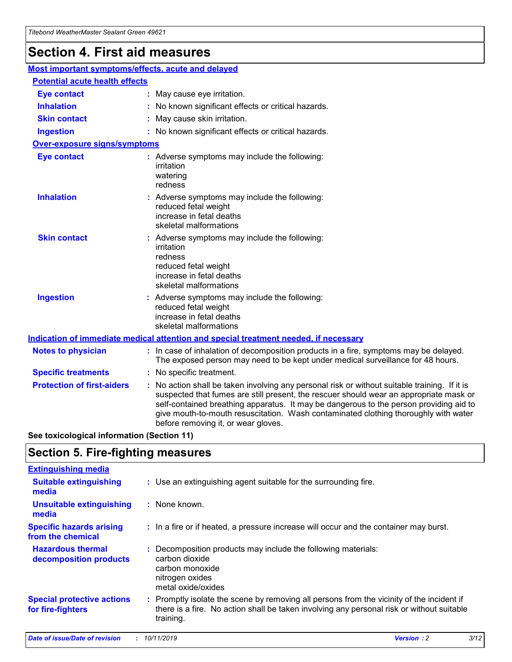## **Section 4. First aid measures**

| Most important symptoms/effects, acute and delayed |  |                                                                                                                                                                                                                                                                                                                                                                                                                 |  |
|----------------------------------------------------|--|-----------------------------------------------------------------------------------------------------------------------------------------------------------------------------------------------------------------------------------------------------------------------------------------------------------------------------------------------------------------------------------------------------------------|--|
| <b>Potential acute health effects</b>              |  |                                                                                                                                                                                                                                                                                                                                                                                                                 |  |
| <b>Eye contact</b>                                 |  | : May cause eye irritation.                                                                                                                                                                                                                                                                                                                                                                                     |  |
| <b>Inhalation</b>                                  |  | : No known significant effects or critical hazards.                                                                                                                                                                                                                                                                                                                                                             |  |
| <b>Skin contact</b>                                |  | : May cause skin irritation.                                                                                                                                                                                                                                                                                                                                                                                    |  |
| <b>Ingestion</b>                                   |  | : No known significant effects or critical hazards.                                                                                                                                                                                                                                                                                                                                                             |  |
| Over-exposure signs/symptoms                       |  |                                                                                                                                                                                                                                                                                                                                                                                                                 |  |
| <b>Eye contact</b>                                 |  | : Adverse symptoms may include the following:<br>irritation<br>watering<br>redness                                                                                                                                                                                                                                                                                                                              |  |
| <b>Inhalation</b>                                  |  | : Adverse symptoms may include the following:<br>reduced fetal weight<br>increase in fetal deaths<br>skeletal malformations                                                                                                                                                                                                                                                                                     |  |
| <b>Skin contact</b>                                |  | : Adverse symptoms may include the following:<br>irritation<br>redness<br>reduced fetal weight<br>increase in fetal deaths<br>skeletal malformations                                                                                                                                                                                                                                                            |  |
| <b>Ingestion</b>                                   |  | : Adverse symptoms may include the following:<br>reduced fetal weight<br>increase in fetal deaths<br>skeletal malformations                                                                                                                                                                                                                                                                                     |  |
|                                                    |  | <b>Indication of immediate medical attention and special treatment needed, if necessary</b>                                                                                                                                                                                                                                                                                                                     |  |
| <b>Notes to physician</b>                          |  | : In case of inhalation of decomposition products in a fire, symptoms may be delayed.<br>The exposed person may need to be kept under medical surveillance for 48 hours.                                                                                                                                                                                                                                        |  |
| <b>Specific treatments</b>                         |  | : No specific treatment.                                                                                                                                                                                                                                                                                                                                                                                        |  |
| <b>Protection of first-aiders</b>                  |  | : No action shall be taken involving any personal risk or without suitable training. If it is<br>suspected that fumes are still present, the rescuer should wear an appropriate mask or<br>self-contained breathing apparatus. It may be dangerous to the person providing aid to<br>give mouth-to-mouth resuscitation. Wash contaminated clothing thoroughly with water<br>before removing it, or wear gloves. |  |

**See toxicological information (Section 11)**

### **Section 5. Fire-fighting measures**

| <b>Extinguishing media</b>                             |                                                                                                                                                                                                     |
|--------------------------------------------------------|-----------------------------------------------------------------------------------------------------------------------------------------------------------------------------------------------------|
| <b>Suitable extinguishing</b><br>media                 | : Use an extinguishing agent suitable for the surrounding fire.                                                                                                                                     |
| <b>Unsuitable extinguishing</b><br>media               | $:$ None known.                                                                                                                                                                                     |
| <b>Specific hazards arising</b><br>from the chemical   | : In a fire or if heated, a pressure increase will occur and the container may burst.                                                                                                               |
| <b>Hazardous thermal</b><br>decomposition products     | : Decomposition products may include the following materials:<br>carbon dioxide<br>carbon monoxide<br>nitrogen oxides<br>metal oxide/oxides                                                         |
| <b>Special protective actions</b><br>for fire-fighters | : Promptly isolate the scene by removing all persons from the vicinity of the incident if<br>there is a fire. No action shall be taken involving any personal risk or without suitable<br>training. |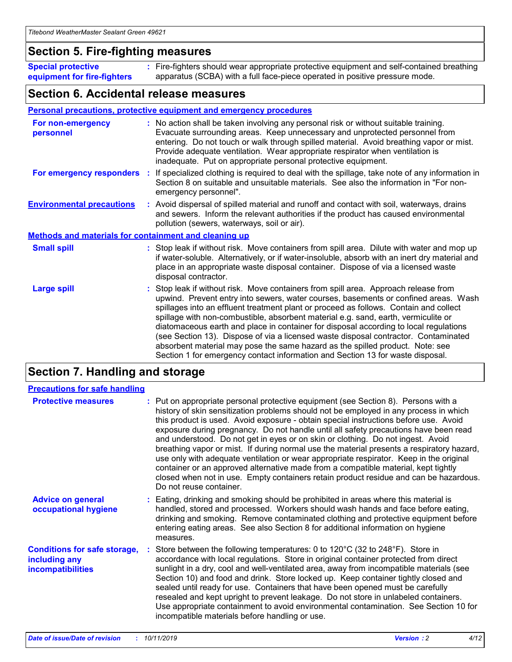### **Section 5. Fire-fighting measures**

**Special protective equipment for fire-fighters** Fire-fighters should wear appropriate protective equipment and self-contained breathing **:** apparatus (SCBA) with a full face-piece operated in positive pressure mode.

### **Section 6. Accidental release measures**

#### **Personal precautions, protective equipment and emergency procedures**

| For non-emergency<br>personnel                               |  | : No action shall be taken involving any personal risk or without suitable training.<br>Evacuate surrounding areas. Keep unnecessary and unprotected personnel from<br>entering. Do not touch or walk through spilled material. Avoid breathing vapor or mist.<br>Provide adequate ventilation. Wear appropriate respirator when ventilation is<br>inadequate. Put on appropriate personal protective equipment.                                                                                                                                                                                                                                                                                             |  |  |
|--------------------------------------------------------------|--|--------------------------------------------------------------------------------------------------------------------------------------------------------------------------------------------------------------------------------------------------------------------------------------------------------------------------------------------------------------------------------------------------------------------------------------------------------------------------------------------------------------------------------------------------------------------------------------------------------------------------------------------------------------------------------------------------------------|--|--|
| For emergency responders                                     |  | : If specialized clothing is required to deal with the spillage, take note of any information in<br>Section 8 on suitable and unsuitable materials. See also the information in "For non-<br>emergency personnel".                                                                                                                                                                                                                                                                                                                                                                                                                                                                                           |  |  |
| <b>Environmental precautions</b>                             |  | : Avoid dispersal of spilled material and runoff and contact with soil, waterways, drains<br>and sewers. Inform the relevant authorities if the product has caused environmental<br>pollution (sewers, waterways, soil or air).                                                                                                                                                                                                                                                                                                                                                                                                                                                                              |  |  |
| <b>Methods and materials for containment and cleaning up</b> |  |                                                                                                                                                                                                                                                                                                                                                                                                                                                                                                                                                                                                                                                                                                              |  |  |
| <b>Small spill</b>                                           |  | : Stop leak if without risk. Move containers from spill area. Dilute with water and mop up<br>if water-soluble. Alternatively, or if water-insoluble, absorb with an inert dry material and<br>place in an appropriate waste disposal container. Dispose of via a licensed waste<br>disposal contractor.                                                                                                                                                                                                                                                                                                                                                                                                     |  |  |
| <b>Large spill</b>                                           |  | : Stop leak if without risk. Move containers from spill area. Approach release from<br>upwind. Prevent entry into sewers, water courses, basements or confined areas. Wash<br>spillages into an effluent treatment plant or proceed as follows. Contain and collect<br>spillage with non-combustible, absorbent material e.g. sand, earth, vermiculite or<br>diatomaceous earth and place in container for disposal according to local regulations<br>(see Section 13). Dispose of via a licensed waste disposal contractor. Contaminated<br>absorbent material may pose the same hazard as the spilled product. Note: see<br>Section 1 for emergency contact information and Section 13 for waste disposal. |  |  |

### **Section 7. Handling and storage**

| <b>Precautions for safe handling</b>                                             |                                                                                                                                                                                                                                                                                                                                                                                                                                                                                                                                                                                                                                                                                                                                                                                                                                                  |
|----------------------------------------------------------------------------------|--------------------------------------------------------------------------------------------------------------------------------------------------------------------------------------------------------------------------------------------------------------------------------------------------------------------------------------------------------------------------------------------------------------------------------------------------------------------------------------------------------------------------------------------------------------------------------------------------------------------------------------------------------------------------------------------------------------------------------------------------------------------------------------------------------------------------------------------------|
| <b>Protective measures</b>                                                       | : Put on appropriate personal protective equipment (see Section 8). Persons with a<br>history of skin sensitization problems should not be employed in any process in which<br>this product is used. Avoid exposure - obtain special instructions before use. Avoid<br>exposure during pregnancy. Do not handle until all safety precautions have been read<br>and understood. Do not get in eyes or on skin or clothing. Do not ingest. Avoid<br>breathing vapor or mist. If during normal use the material presents a respiratory hazard,<br>use only with adequate ventilation or wear appropriate respirator. Keep in the original<br>container or an approved alternative made from a compatible material, kept tightly<br>closed when not in use. Empty containers retain product residue and can be hazardous.<br>Do not reuse container. |
| <b>Advice on general</b><br>occupational hygiene                                 | : Eating, drinking and smoking should be prohibited in areas where this material is<br>handled, stored and processed. Workers should wash hands and face before eating,<br>drinking and smoking. Remove contaminated clothing and protective equipment before<br>entering eating areas. See also Section 8 for additional information on hygiene<br>measures.                                                                                                                                                                                                                                                                                                                                                                                                                                                                                    |
| <b>Conditions for safe storage,</b><br>including any<br><b>incompatibilities</b> | Store between the following temperatures: 0 to 120°C (32 to 248°F). Store in<br>accordance with local regulations. Store in original container protected from direct<br>sunlight in a dry, cool and well-ventilated area, away from incompatible materials (see<br>Section 10) and food and drink. Store locked up. Keep container tightly closed and<br>sealed until ready for use. Containers that have been opened must be carefully<br>resealed and kept upright to prevent leakage. Do not store in unlabeled containers.<br>Use appropriate containment to avoid environmental contamination. See Section 10 for<br>incompatible materials before handling or use.                                                                                                                                                                         |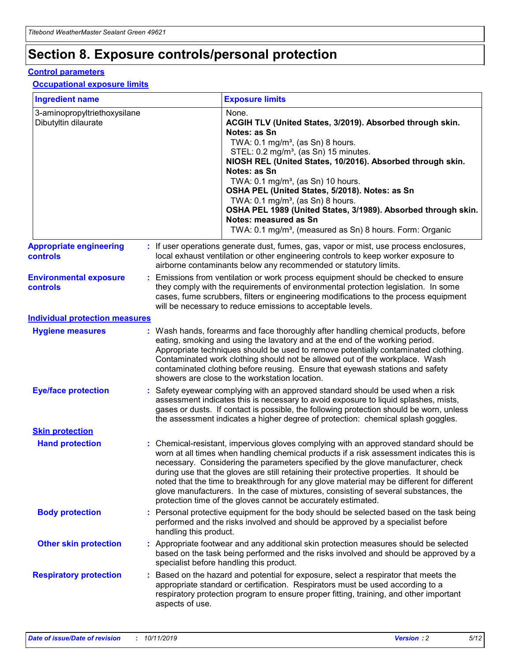## **Section 8. Exposure controls/personal protection**

#### **Control parameters**

#### **Occupational exposure limits**

| <b>Ingredient name</b>                               |    |                        | <b>Exposure limits</b>                                                                                                                                                                                                                                                                                                                                                                                                                                                                                                                                                                                                 |
|------------------------------------------------------|----|------------------------|------------------------------------------------------------------------------------------------------------------------------------------------------------------------------------------------------------------------------------------------------------------------------------------------------------------------------------------------------------------------------------------------------------------------------------------------------------------------------------------------------------------------------------------------------------------------------------------------------------------------|
| 3-aminopropyltriethoxysilane<br>Dibutyltin dilaurate |    |                        | None.<br>ACGIH TLV (United States, 3/2019). Absorbed through skin.<br>Notes: as Sn<br>TWA: $0.1 \text{ mg/m}^3$ , (as Sn) 8 hours.<br>STEL: 0.2 mg/m <sup>3</sup> , (as Sn) 15 minutes.<br>NIOSH REL (United States, 10/2016). Absorbed through skin.<br>Notes: as Sn<br>TWA: 0.1 mg/m <sup>3</sup> , (as Sn) 10 hours.<br>OSHA PEL (United States, 5/2018). Notes: as Sn<br>TWA: $0.1 \text{ mg/m}^3$ , (as Sn) 8 hours.<br>OSHA PEL 1989 (United States, 3/1989). Absorbed through skin.<br>Notes: measured as Sn<br>TWA: 0.1 mg/m <sup>3</sup> , (measured as Sn) 8 hours. Form: Organic                            |
| <b>Appropriate engineering</b><br>controls           |    |                        | : If user operations generate dust, fumes, gas, vapor or mist, use process enclosures,<br>local exhaust ventilation or other engineering controls to keep worker exposure to<br>airborne contaminants below any recommended or statutory limits.                                                                                                                                                                                                                                                                                                                                                                       |
| <b>Environmental exposure</b><br>controls            |    |                        | Emissions from ventilation or work process equipment should be checked to ensure<br>they comply with the requirements of environmental protection legislation. In some<br>cases, fume scrubbers, filters or engineering modifications to the process equipment<br>will be necessary to reduce emissions to acceptable levels.                                                                                                                                                                                                                                                                                          |
| <b>Individual protection measures</b>                |    |                        |                                                                                                                                                                                                                                                                                                                                                                                                                                                                                                                                                                                                                        |
| <b>Hygiene measures</b>                              |    |                        | : Wash hands, forearms and face thoroughly after handling chemical products, before<br>eating, smoking and using the lavatory and at the end of the working period.<br>Appropriate techniques should be used to remove potentially contaminated clothing.<br>Contaminated work clothing should not be allowed out of the workplace. Wash<br>contaminated clothing before reusing. Ensure that eyewash stations and safety<br>showers are close to the workstation location.                                                                                                                                            |
| <b>Eye/face protection</b>                           |    |                        | : Safety eyewear complying with an approved standard should be used when a risk<br>assessment indicates this is necessary to avoid exposure to liquid splashes, mists,<br>gases or dusts. If contact is possible, the following protection should be worn, unless<br>the assessment indicates a higher degree of protection: chemical splash goggles.                                                                                                                                                                                                                                                                  |
| <b>Skin protection</b>                               |    |                        |                                                                                                                                                                                                                                                                                                                                                                                                                                                                                                                                                                                                                        |
| <b>Hand protection</b>                               |    |                        | : Chemical-resistant, impervious gloves complying with an approved standard should be<br>worn at all times when handling chemical products if a risk assessment indicates this is<br>necessary. Considering the parameters specified by the glove manufacturer, check<br>during use that the gloves are still retaining their protective properties. It should be<br>noted that the time to breakthrough for any glove material may be different for different<br>glove manufacturers. In the case of mixtures, consisting of several substances, the<br>protection time of the gloves cannot be accurately estimated. |
| <b>Body protection</b>                               |    | handling this product. | Personal protective equipment for the body should be selected based on the task being<br>performed and the risks involved and should be approved by a specialist before                                                                                                                                                                                                                                                                                                                                                                                                                                                |
| <b>Other skin protection</b>                         |    |                        | : Appropriate footwear and any additional skin protection measures should be selected<br>based on the task being performed and the risks involved and should be approved by a<br>specialist before handling this product.                                                                                                                                                                                                                                                                                                                                                                                              |
| <b>Respiratory protection</b>                        | ÷. | aspects of use.        | Based on the hazard and potential for exposure, select a respirator that meets the<br>appropriate standard or certification. Respirators must be used according to a<br>respiratory protection program to ensure proper fitting, training, and other important                                                                                                                                                                                                                                                                                                                                                         |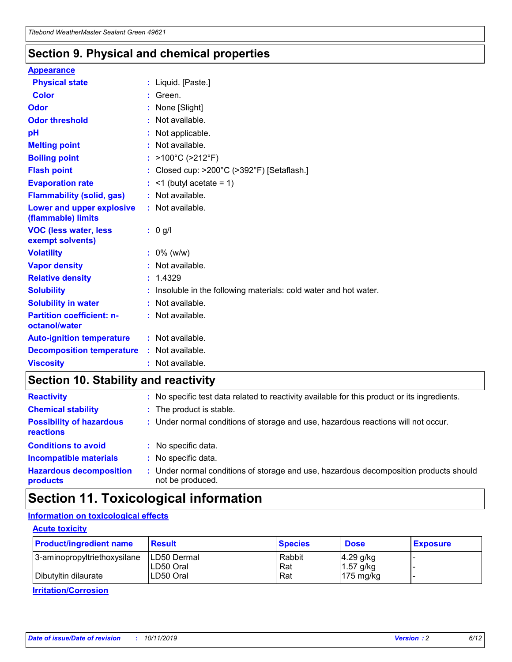### **Section 9. Physical and chemical properties**

#### **Appearance**

| <b>Physical state</b>                                  | : Liquid. [Paste.]                                              |
|--------------------------------------------------------|-----------------------------------------------------------------|
| <b>Color</b>                                           | Green.                                                          |
| Odor                                                   | None [Slight]                                                   |
| <b>Odor threshold</b>                                  | $:$ Not available.                                              |
| рH                                                     | : Not applicable.                                               |
| <b>Melting point</b>                                   | : Not available.                                                |
| <b>Boiling point</b>                                   | : $>100^{\circ}$ C ( $>212^{\circ}$ F)                          |
| <b>Flash point</b>                                     | : Closed cup: $>200^{\circ}$ C ( $>392^{\circ}$ F) [Setaflash.] |
| <b>Evaporation rate</b>                                | $:$ <1 (butyl acetate = 1)                                      |
| <b>Flammability (solid, gas)</b>                       | : Not available.                                                |
| <b>Lower and upper explosive</b><br>(flammable) limits | : Not available.                                                |
|                                                        | : 0 g/l                                                         |
| <b>VOC (less water, less</b><br>exempt solvents)       |                                                                 |
| <b>Volatility</b>                                      | $: 0\%$ (w/w)                                                   |
| <b>Vapor density</b>                                   | : Not available.                                                |
| <b>Relative density</b>                                | : 1.4329                                                        |
| <b>Solubility</b>                                      | Insoluble in the following materials: cold water and hot water. |
| <b>Solubility in water</b>                             | : Not available.                                                |
| <b>Partition coefficient: n-</b><br>octanol/water      | $:$ Not available.                                              |
| <b>Auto-ignition temperature</b>                       | : Not available.                                                |
| <b>Decomposition temperature</b>                       | : Not available.                                                |

### **Section 10. Stability and reactivity**

| <b>Reactivity</b>                            | : No specific test data related to reactivity available for this product or its ingredients.            |
|----------------------------------------------|---------------------------------------------------------------------------------------------------------|
| <b>Chemical stability</b>                    | : The product is stable.                                                                                |
| <b>Possibility of hazardous</b><br>reactions | : Under normal conditions of storage and use, hazardous reactions will not occur.                       |
| <b>Conditions to avoid</b>                   | : No specific data.                                                                                     |
| <b>Incompatible materials</b>                | : No specific data.                                                                                     |
| <b>Hazardous decomposition</b><br>products   | Under normal conditions of storage and use, hazardous decomposition products should<br>not be produced. |

## **Section 11. Toxicological information**

### **Information on toxicological effects**

#### **Acute toxicity**

| <b>Product/ingredient name</b> | <b>Result</b>           | <b>Species</b> | <b>Dose</b>                | <b>Exposure</b> |
|--------------------------------|-------------------------|----------------|----------------------------|-----------------|
| 3-aminopropyltriethoxysilane   | <b>ILD50 Dermal</b>     | Rabbit         | 4.29 g/kg                  |                 |
| Dibutyltin dilaurate           | ILD50 Oral<br>LD50 Oral | Rat<br>Rat     | $1.57$ g/kg<br>175 $mg/kg$ |                 |
|                                |                         |                |                            |                 |

**Irritation/Corrosion**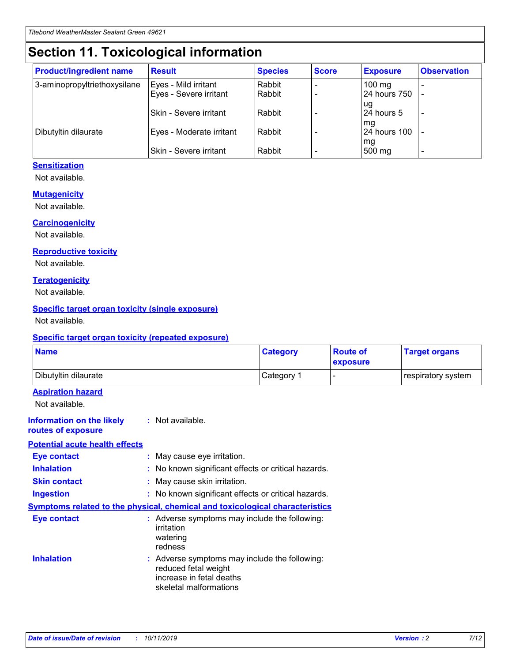## **Section 11. Toxicological information**

| <b>Product/ingredient name</b> | <b>Result</b>            | <b>Species</b> | <b>Score</b> | <b>Exposure</b>           | <b>Observation</b> |
|--------------------------------|--------------------------|----------------|--------------|---------------------------|--------------------|
| 3-aminopropyltriethoxysilane   | Eyes - Mild irritant     | Rabbit         |              | $100$ mg                  |                    |
|                                | Eyes - Severe irritant   | Rabbit         |              | 24 hours 750              |                    |
|                                |                          |                |              | ug                        |                    |
|                                | Skin - Severe irritant   | Rabbit         |              | 24 hours 5                | -                  |
| Dibutyltin dilaurate           | Eyes - Moderate irritant | Rabbit         |              | mg<br><b>24 hours 100</b> |                    |
|                                |                          |                |              | mg                        |                    |
|                                | Skin - Severe irritant   | Rabbit         |              | 500 mg                    | -                  |

#### **Sensitization**

Not available.

#### **Mutagenicity**

Not available.

#### **Carcinogenicity**

Not available.

#### **Reproductive toxicity**

Not available.

#### **Teratogenicity**

Not available.

#### **Specific target organ toxicity (single exposure)**

Not available.

#### **Specific target organ toxicity (repeated exposure)**

| <b>Name</b>                                                                  |                                                                                                                             | <b>Category</b> | <b>Route of</b><br>exposure  | <b>Target organs</b> |
|------------------------------------------------------------------------------|-----------------------------------------------------------------------------------------------------------------------------|-----------------|------------------------------|----------------------|
| Dibutyltin dilaurate                                                         |                                                                                                                             | Category 1      | $\qquad \qquad \blacksquare$ | respiratory system   |
| <b>Aspiration hazard</b><br>Not available.                                   |                                                                                                                             |                 |                              |                      |
| <b>Information on the likely</b><br>routes of exposure                       | : Not available.                                                                                                            |                 |                              |                      |
| <b>Potential acute health effects</b>                                        |                                                                                                                             |                 |                              |                      |
| <b>Eye contact</b>                                                           | : May cause eye irritation.                                                                                                 |                 |                              |                      |
| <b>Inhalation</b>                                                            | : No known significant effects or critical hazards.                                                                         |                 |                              |                      |
| <b>Skin contact</b>                                                          | : May cause skin irritation.                                                                                                |                 |                              |                      |
| <b>Ingestion</b>                                                             | : No known significant effects or critical hazards.                                                                         |                 |                              |                      |
| Symptoms related to the physical, chemical and toxicological characteristics |                                                                                                                             |                 |                              |                      |
| <b>Eye contact</b>                                                           | : Adverse symptoms may include the following:<br>irritation<br>watering<br>redness                                          |                 |                              |                      |
| <b>Inhalation</b>                                                            | : Adverse symptoms may include the following:<br>reduced fetal weight<br>increase in fetal deaths<br>skeletal malformations |                 |                              |                      |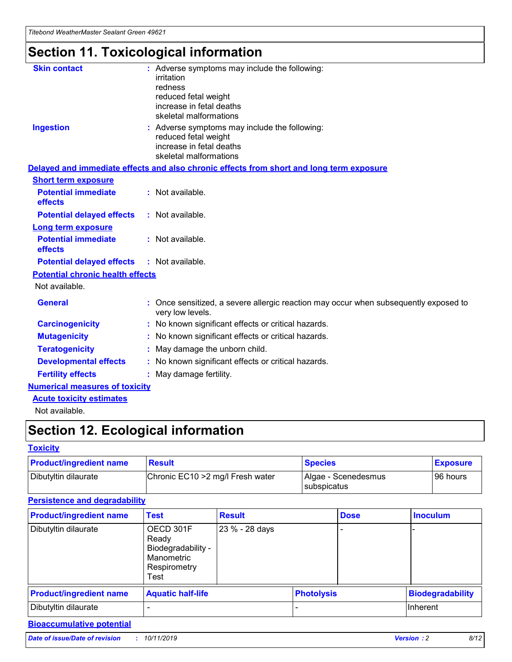# **Section 11. Toxicological information**

| <b>Skin contact</b>                     | : Adverse symptoms may include the following:                                                            |
|-----------------------------------------|----------------------------------------------------------------------------------------------------------|
|                                         | irritation                                                                                               |
|                                         | redness                                                                                                  |
|                                         | reduced fetal weight                                                                                     |
|                                         | increase in fetal deaths                                                                                 |
|                                         | skeletal malformations                                                                                   |
| <b>Ingestion</b>                        | : Adverse symptoms may include the following:                                                            |
|                                         | reduced fetal weight                                                                                     |
|                                         | increase in fetal deaths                                                                                 |
|                                         | skeletal malformations                                                                                   |
|                                         | Delayed and immediate effects and also chronic effects from short and long term exposure                 |
| <b>Short term exposure</b>              |                                                                                                          |
| <b>Potential immediate</b>              | : Not available.                                                                                         |
| effects                                 |                                                                                                          |
| <b>Potential delayed effects</b>        | : Not available.                                                                                         |
| Long term exposure                      |                                                                                                          |
| <b>Potential immediate</b>              | : Not available.                                                                                         |
| effects                                 |                                                                                                          |
| <b>Potential delayed effects</b>        | : Not available.                                                                                         |
| <b>Potential chronic health effects</b> |                                                                                                          |
| Not available.                          |                                                                                                          |
| <b>General</b>                          | : Once sensitized, a severe allergic reaction may occur when subsequently exposed to<br>very low levels. |
| <b>Carcinogenicity</b>                  | : No known significant effects or critical hazards.                                                      |
| <b>Mutagenicity</b>                     | : No known significant effects or critical hazards.                                                      |
| <b>Teratogenicity</b>                   | May damage the unborn child.                                                                             |
| <b>Developmental effects</b>            | : No known significant effects or critical hazards.                                                      |
| <b>Fertility effects</b>                | May damage fertility.                                                                                    |
| <b>Numerical measures of toxicity</b>   |                                                                                                          |
| <b>Acute toxicity estimates</b>         |                                                                                                          |
| الملمانة المستنقط فالمرابط              |                                                                                                          |

Not available.

## **Section 12. Ecological information**

#### **Toxicity**

| <b>Product/ingredient name</b> | <b>Result</b>                     | <b>Species</b>                       | <b>Exposure</b> |
|--------------------------------|-----------------------------------|--------------------------------------|-----------------|
| Dibutyltin dilaurate           | Chronic EC10 > 2 mg/l Fresh water | Algae - Scenedesmus<br>I subspicatus | l 96 hours i    |

### **Persistence and degradability**

| <b>Product/ingredient name</b> | <b>Test</b>                                                                    | <b>Result</b>  |                   | <b>Dose</b> | <b>Inoculum</b>         |
|--------------------------------|--------------------------------------------------------------------------------|----------------|-------------------|-------------|-------------------------|
| Dibutyltin dilaurate           | OECD 301F<br>Ready<br>Biodegradability -<br>Manometric<br>Respirometry<br>Test | 23 % - 28 days |                   |             |                         |
| <b>Product/ingredient name</b> | <b>Aquatic half-life</b>                                                       |                | <b>Photolysis</b> |             | <b>Biodegradability</b> |
| Dibutyltin dilaurate           |                                                                                |                |                   |             | Inherent                |

### **Bioaccumulative potential**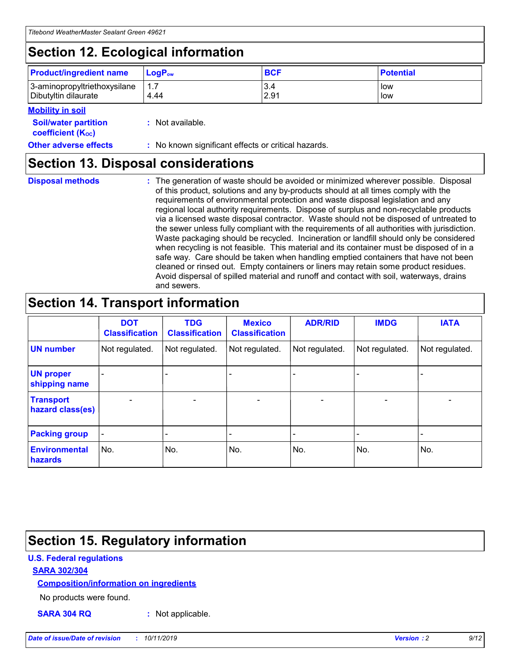## **Section 12. Ecological information**

| <b>Product/ingredient name</b> | $LoaPow$ | <b>BCF</b> | <b>Potential</b> |
|--------------------------------|----------|------------|------------------|
| 3-aminopropyltriethoxysilane   | 1.7      | 3.4        | low              |
| Dibutyltin dilaurate           | 4.44     | 2.91       | low              |

#### **Mobility in soil**

| <b>Soil/water partition</b><br>coefficient (K <sub>oc</sub> ) | : Not available.                                    |
|---------------------------------------------------------------|-----------------------------------------------------|
| <b>Other adverse effects</b>                                  | : No known significant effects or critical hazards. |

### **Section 13. Disposal considerations**

**Disposal methods :**

The generation of waste should be avoided or minimized wherever possible. Disposal of this product, solutions and any by-products should at all times comply with the requirements of environmental protection and waste disposal legislation and any regional local authority requirements. Dispose of surplus and non-recyclable products via a licensed waste disposal contractor. Waste should not be disposed of untreated to the sewer unless fully compliant with the requirements of all authorities with jurisdiction. Waste packaging should be recycled. Incineration or landfill should only be considered when recycling is not feasible. This material and its container must be disposed of in a safe way. Care should be taken when handling emptied containers that have not been cleaned or rinsed out. Empty containers or liners may retain some product residues. Avoid dispersal of spilled material and runoff and contact with soil, waterways, drains and sewers.

## **Section 14. Transport information**

|                                      | <b>DOT</b><br><b>Classification</b> | <b>TDG</b><br><b>Classification</b> | <b>Mexico</b><br><b>Classification</b> | <b>ADR/RID</b>           | <b>IMDG</b>              | <b>IATA</b>              |
|--------------------------------------|-------------------------------------|-------------------------------------|----------------------------------------|--------------------------|--------------------------|--------------------------|
| <b>UN number</b>                     | Not regulated.                      | Not regulated.                      | Not regulated.                         | Not regulated.           | Not regulated.           | Not regulated.           |
| <b>UN proper</b><br>shipping name    | $\qquad \qquad \blacksquare$        |                                     |                                        |                          |                          |                          |
| <b>Transport</b><br>hazard class(es) | $\blacksquare$                      | $\blacksquare$                      | $\blacksquare$                         | $\overline{\phantom{a}}$ | $\blacksquare$           | $\blacksquare$           |
| <b>Packing group</b>                 | $\overline{\phantom{a}}$            | $\overline{\phantom{0}}$            | $\qquad \qquad \blacksquare$           | -                        | $\overline{\phantom{0}}$ | $\overline{\phantom{a}}$ |
| <b>Environmental</b><br>hazards      | No.                                 | No.                                 | No.                                    | No.                      | No.                      | No.                      |

## **Section 15. Regulatory information**

#### **U.S. Federal regulations**

#### **SARA 302/304**

#### **Composition/information on ingredients**

No products were found.

**SARA 304 RQ :** Not applicable.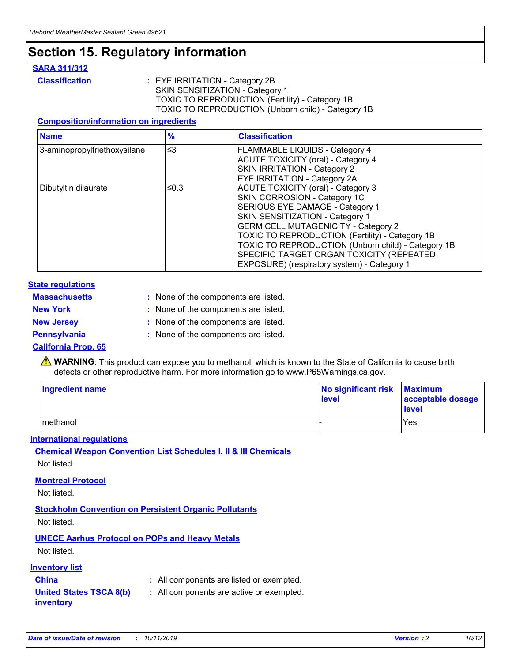## **Section 15. Regulatory information**

#### **SARA 311/312**

**Classification :** EYE IRRITATION - Category 2B SKIN SENSITIZATION - Category 1 TOXIC TO REPRODUCTION (Fertility) - Category 1B TOXIC TO REPRODUCTION (Unborn child) - Category 1B

#### **Composition/information on ingredients**

| <b>Name</b>                  | $\frac{9}{6}$ | <b>Classification</b>                                                                                            |
|------------------------------|---------------|------------------------------------------------------------------------------------------------------------------|
| 3-aminopropyltriethoxysilane | $\leq$ 3      | <b>FLAMMABLE LIQUIDS - Category 4</b><br><b>ACUTE TOXICITY (oral) - Category 4</b>                               |
|                              |               | SKIN IRRITATION - Category 2<br><b>EYE IRRITATION - Category 2A</b>                                              |
| Dibutyltin dilaurate         | ≤0.3          | ACUTE TOXICITY (oral) - Category 3<br>SKIN CORROSION - Category 1C                                               |
|                              |               | SERIOUS EYE DAMAGE - Category 1<br>SKIN SENSITIZATION - Category 1<br><b>GERM CELL MUTAGENICITY - Category 2</b> |
|                              |               | TOXIC TO REPRODUCTION (Fertility) - Category 1B<br>TOXIC TO REPRODUCTION (Unborn child) - Category 1B            |
|                              |               | SPECIFIC TARGET ORGAN TOXICITY (REPEATED<br>EXPOSURE) (respiratory system) - Category 1                          |

#### **State regulations**

| <b>Massachusetts</b> | : None of the components are listed. |
|----------------------|--------------------------------------|
| <b>New York</b>      | : None of the components are listed. |
| <b>New Jersey</b>    | : None of the components are listed. |
| <b>Pennsylvania</b>  | : None of the components are listed. |

#### **California Prop. 65**

**A** WARNING: This product can expose you to methanol, which is known to the State of California to cause birth defects or other reproductive harm. For more information go to www.P65Warnings.ca.gov.

| <b>Ingredient name</b> | No significant risk Maximum<br>level | acceptable dosage<br>level |
|------------------------|--------------------------------------|----------------------------|
| methanol               |                                      | Yes.                       |

#### **International regulations**

**Chemical Weapon Convention List Schedules I, II & III Chemicals** Not listed.

#### **Montreal Protocol**

Not listed.

**Stockholm Convention on Persistent Organic Pollutants**

Not listed.

### **UNECE Aarhus Protocol on POPs and Heavy Metals**

Not listed.

#### **Inventory list**

### **China :** All components are listed or exempted.

**United States TSCA 8(b) inventory :** All components are active or exempted.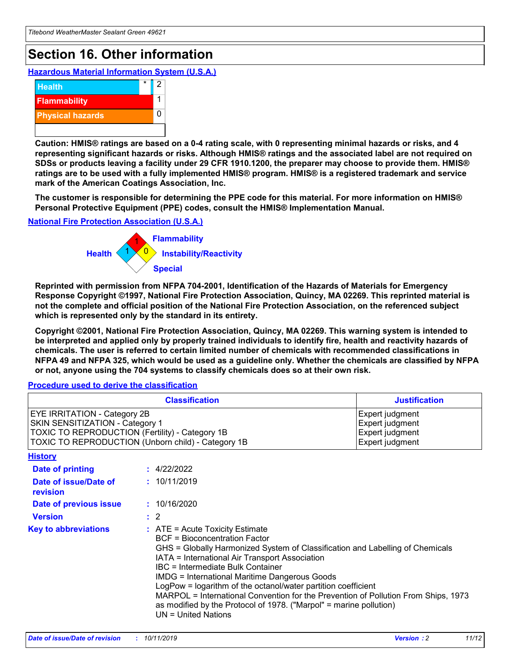## **Section 16. Other information**

**Hazardous Material Information System (U.S.A.)**



**Caution: HMIS® ratings are based on a 0-4 rating scale, with 0 representing minimal hazards or risks, and 4 representing significant hazards or risks. Although HMIS® ratings and the associated label are not required on SDSs or products leaving a facility under 29 CFR 1910.1200, the preparer may choose to provide them. HMIS® ratings are to be used with a fully implemented HMIS® program. HMIS® is a registered trademark and service mark of the American Coatings Association, Inc.**

**The customer is responsible for determining the PPE code for this material. For more information on HMIS® Personal Protective Equipment (PPE) codes, consult the HMIS® Implementation Manual.**

#### **National Fire Protection Association (U.S.A.)**



**Reprinted with permission from NFPA 704-2001, Identification of the Hazards of Materials for Emergency Response Copyright ©1997, National Fire Protection Association, Quincy, MA 02269. This reprinted material is not the complete and official position of the National Fire Protection Association, on the referenced subject which is represented only by the standard in its entirety.**

**Copyright ©2001, National Fire Protection Association, Quincy, MA 02269. This warning system is intended to be interpreted and applied only by properly trained individuals to identify fire, health and reactivity hazards of chemicals. The user is referred to certain limited number of chemicals with recommended classifications in NFPA 49 and NFPA 325, which would be used as a guideline only. Whether the chemicals are classified by NFPA or not, anyone using the 704 systems to classify chemicals does so at their own risk.**

#### **Procedure used to derive the classification**

| <b>Classification</b>                                                                                                                                                    |                                                                                                                                                                                                                                                                                                                                                                                                                                                                                                                                                               | <b>Justification</b>                                                     |
|--------------------------------------------------------------------------------------------------------------------------------------------------------------------------|---------------------------------------------------------------------------------------------------------------------------------------------------------------------------------------------------------------------------------------------------------------------------------------------------------------------------------------------------------------------------------------------------------------------------------------------------------------------------------------------------------------------------------------------------------------|--------------------------------------------------------------------------|
| EYE IRRITATION - Category 2B<br>SKIN SENSITIZATION - Category 1<br>TOXIC TO REPRODUCTION (Fertility) - Category 1B<br>TOXIC TO REPRODUCTION (Unborn child) - Category 1B |                                                                                                                                                                                                                                                                                                                                                                                                                                                                                                                                                               | Expert judgment<br>Expert judgment<br>Expert judgment<br>Expert judgment |
| <b>History</b>                                                                                                                                                           |                                                                                                                                                                                                                                                                                                                                                                                                                                                                                                                                                               |                                                                          |
| Date of printing                                                                                                                                                         | : 4/22/2022                                                                                                                                                                                                                                                                                                                                                                                                                                                                                                                                                   |                                                                          |
| Date of issue/Date of<br>revision                                                                                                                                        | : 10/11/2019                                                                                                                                                                                                                                                                                                                                                                                                                                                                                                                                                  |                                                                          |
| Date of previous issue                                                                                                                                                   | : 10/16/2020                                                                                                                                                                                                                                                                                                                                                                                                                                                                                                                                                  |                                                                          |
| <b>Version</b>                                                                                                                                                           | $\therefore$ 2                                                                                                                                                                                                                                                                                                                                                                                                                                                                                                                                                |                                                                          |
| <b>Key to abbreviations</b>                                                                                                                                              | $:$ ATE = Acute Toxicity Estimate<br><b>BCF</b> = Bioconcentration Factor<br>GHS = Globally Harmonized System of Classification and Labelling of Chemicals<br>IATA = International Air Transport Association<br>IBC = Intermediate Bulk Container<br><b>IMDG = International Maritime Dangerous Goods</b><br>LogPow = logarithm of the octanol/water partition coefficient<br>MARPOL = International Convention for the Prevention of Pollution From Ships, 1973<br>as modified by the Protocol of 1978. ("Marpol" = marine pollution)<br>UN = United Nations |                                                                          |